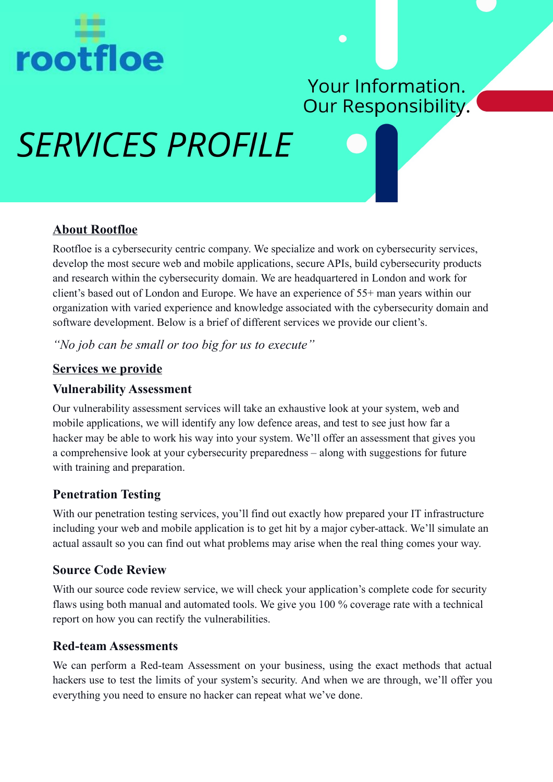

# Your Information. Our Responsibility.

# **SERVICES PROFILE**



 $\bullet$ 

# **About Rootfloe**

Rootfloe is a cybersecurity centric company. We specialize and work on cybersecurity services, develop the most secure web and mobile applications, secure APIs, build cybersecurity products and research within the cybersecurity domain. We are headquartered in London and work for client's based out of London and Europe. We have an experience of 55+ man years within our organization with varied experience and knowledge associated with the cybersecurity domain and software development. Below is a brief of different services we provide our client's.

*"No job can be small or too big for us to execute"*

## **Services we provide**

## **Vulnerability Assessment**

Our vulnerability assessment services will take an exhaustive look at your system, web and mobile applications, we will identify any low defence areas, and test to see just how far a hacker may be able to work his way into your system. We'll offer an assessment that gives you a comprehensive look at your cybersecurity preparedness – along with suggestions for future with training and preparation.

# **Penetration Testing**

With our penetration testing services, you'll find out exactly how prepared your IT infrastructure including your web and mobile application is to get hit by a major cyber-attack. We'll simulate an actual assault so you can find out what problems may arise when the real thing comes your way.

# **Source Code Review**

With our source code review service, we will check your application's complete code for security flaws using both manual and automated tools. We give you 100 % coverage rate with a technical report on how you can rectify the vulnerabilities.

# **Red-team Assessments**

We can perform a Red-team Assessment on your business, using the exact methods that actual hackers use to test the limits of your system's security. And when we are through, we'll offer you everything you need to ensure no hacker can repeat what we've done.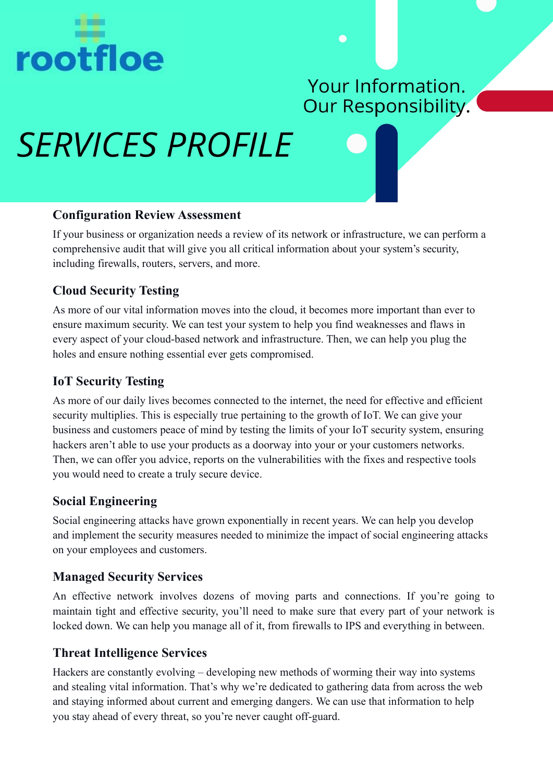

# Your Information. Our Responsibility.

Ē

# **SERVICES PROFILE**

#### **Configuration Review Assessment**

If your business or organization needs a review of its network or infrastructure, we can perform a comprehensive audit that will give you all critical information about your system's security, including firewalls, routers, servers, and more.

# **Cloud Security Testing**

As more of our vital information moves into the cloud, it becomes more important than ever to ensure maximum security. We can test your system to help you find weaknesses and flaws in every aspect of your cloud-based network and infrastructure. Then, we can help you plug the holes and ensure nothing essential ever gets compromised.

# **IoT Security Testing**

As more of our daily lives becomes connected to the internet, the need for effective and efficient security multiplies. This is especially true pertaining to the growth of IoT. We can give your business and customers peace of mind by testing the limits of your IoT security system, ensuring hackers aren't able to use your products as a doorway into your or your customers networks. Then, we can offer you advice, reports on the vulnerabilities with the fixes and respective tools you would need to create a truly secure device.

### **Social Engineering**

Social engineering attacks have grown exponentially in recent years. We can help you develop and implement the security measures needed to minimize the impact of social engineering attacks on your employees and customers.

### **Managed Security Services**

An effective network involves dozens of moving parts and connections. If you're going to maintain tight and effective security, you'll need to make sure that every part of your network is locked down. We can help you manage all of it, from firewalls to IPS and everything in between.

### **Threat Intelligence Services**

Hackers are constantly evolving – developing new methods of worming their way into systems and stealing vital information. That's why we're dedicated to gathering data from across the web and staying informed about current and emerging dangers. We can use that information to help you stay ahead of every threat, so you're never caught off-guard.